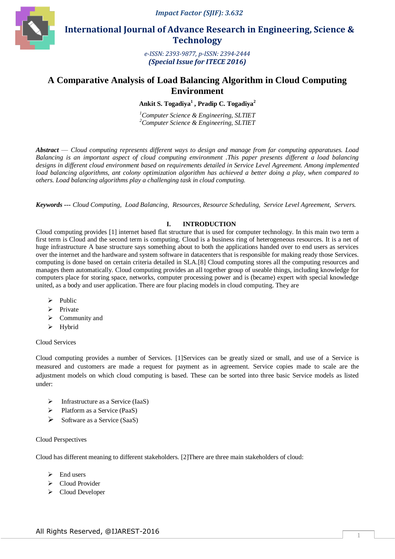*Impact Factor (SJIF): 3.632*



 **International Journal of Advance Research in Engineering, Science & Technology** 

> *e-ISSN: 2393-9877, p-ISSN: 2394-2444 (Special Issue for ITECE 2016)*

# **A Comparative Analysis of Load Balancing Algorithm in Cloud Computing Environment**

**Ankit S. Togadiya<sup>1</sup> , Pradip C. Togadiya<sup>2</sup>**

*<sup>1</sup>Computer Science & Engineering, SLTIET <sup>2</sup>Computer Science & Engineering, SLTIET*

*Abstract* — *Cloud computing represents different ways to design and manage from far computing apparatuses. Load Balancing is an important aspect of cloud computing environment .This paper presents different a load balancing designs in different cloud environment based on requirements detailed in Service Level Agreement. Among implemented load balancing algorithms, ant colony optimization algorithm has achieved a better doing a play, when compared to others. Load balancing algorithms play a challenging task in cloud computing.*

*Keywords --- Cloud Computing, Load Balancing, Resources, Resource Scheduling, Service Level Agreement, Servers.*

## **I. INTRODUCTION**

Cloud computing provides [1] internet based flat structure that is used for computer technology. In this main two term a first term is Cloud and the second term is computing. Cloud is a business ring of heterogeneous resources. It is a net of huge infrastructure A base structure says something about to both the applications handed over to end users as services over the internet and the hardware and system software in datacenters that is responsible for making ready those Services. computing is done based on certain criteria detailed in SLA.[8] Cloud computing stores all the computing resources and manages them automatically. Cloud computing provides an all together group of useable things, including knowledge for computers place for storing space, networks, computer processing power and is (became) expert with special knowledge united, as a body and user application. There are four placing models in cloud computing. They are

- $\triangleright$  Public
- $\triangleright$  Private
- $\triangleright$  Community and
- > Hybrid

#### Cloud Services

Cloud computing provides a number of Services. [1]Services can be greatly sized or small, and use of a Service is measured and customers are made a request for payment as in agreement. Service copies made to scale are the adjustment models on which cloud computing is based. These can be sorted into three basic Service models as listed under:

- $\triangleright$  Infrastructure as a Service (IaaS)
- Platform as a Service (PaaS)
- $\triangleright$  Software as a Service (SaaS)

## Cloud Perspectives

Cloud has different meaning to different stakeholders. [2]There are three main stakeholders of cloud:

- $\triangleright$  End users
- > Cloud Provider
- ▶ Cloud Developer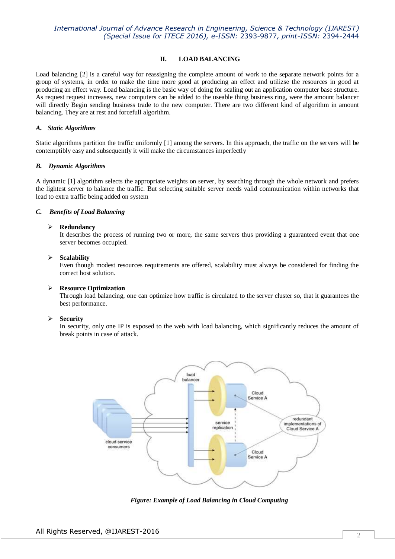# *International Journal of Advance Research in Engineering, Science & Technology (IJAREST) (Special Issue for ITECE 2016), e-ISSN:* 2393-9877*, print-ISSN:* 2394-2444

## **II. LOAD BALANCING**

Load balancing [2] is a careful way for reassigning the complete amount of work to the separate network points for a group of systems, in order to make the time more good at producing an effect and utilizse the resources in good at producing an effect way. Load balancing is the basic way of doing for [scaling](http://simplish.org/conversion/23D9409C/) out an application computer base structure. As request request increases, new computers can be added to the useable thing business ring, were the amount balancer will directly Begin sending business trade to the new computer. There are two different kind of algorithm in amount balancing. They are at rest and forcefull algorithm.

#### *A. Static Algorithms*

Static algorithms partition the traffic uniformly [1] among the servers. In this approach, the traffic on the servers will be contemptibly easy and subsequently it will make the circumstances imperfectly

#### *B. Dynamic Algorithms*

A dynamic [1] algorithm selects the appropriate weights on server, by searching through the whole network and prefers the lightest server to balance the traffic. But selecting suitable server needs valid communication within networks that lead to extra traffic being added on system

#### *C. Benefits of Load Balancing*

#### **Redundancy**

It describes the process of running two or more, the same servers thus providing a guaranteed event that one server becomes occupied.

#### **Scalability**

Even though modest resources requirements are offered, scalability must always be considered for finding the correct host solution.

#### **Resource Optimization**

Through load balancing, one can optimize how traffic is circulated to the server cluster so, that it guarantees the best performance.

#### **Security**

In security, only one IP is exposed to the web with load balancing, which significantly reduces the amount of break points in case of attack.



*Figure: Example of Load Balancing in Cloud Computing*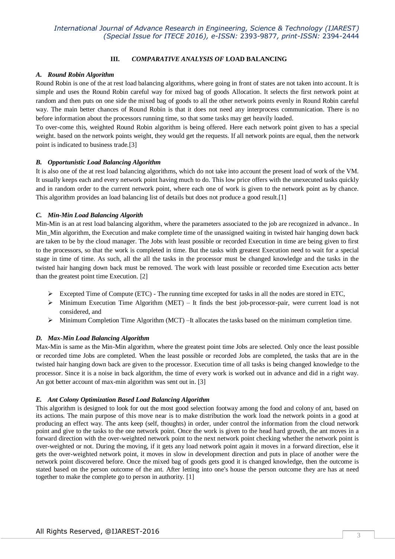## **III.** *COMPARATIVE ANALYSIS OF* **LOAD BALANCING**

## *A. Round Robin Algorithm*

Round Robin is one of the at rest load balancing algorithms, where going in front of states are not taken into account. It is simple and uses the Round Robin careful way for mixed bag of goods Allocation. It selects the first network point at random and then puts on one side the mixed bag of goods to all the other network points evenly in Round Robin careful way. The main better chances of Round Robin is that it does not need any interprocess communication. There is no before information about the processors running time, so that some tasks may get heavily loaded.

To over-come this, weighted Round Robin algorithm is being offered. Here each network point given to has a special weight. based on the network points weight, they would get the requests. If all network points are equal, then the network point is indicated to business trade.[3]

## *B. Opportunistic Load Balancing Algorithm*

It is also one of the at rest load balancing algorithms, which do not take into account the present load of work of the VM. It usually keeps each and every network point having much to do. This low price offers with the unexecuted tasks quickly and in random order to the current network point, where each one of work is given to the network point as by chance. This algorithm provides an load balancing list of details but does not produce a good result.[1]

## *C. Min-Min Load Balancing Algorith*

Min-Min is an at rest load balancing algorithm, where the parameters associated to the job are recognized in advance.. In Min Min algorithm, the Execution and make complete time of the unassigned waiting in twisted hair hanging down back are taken to be by the cloud manager. The Jobs with least possible or recorded Execution in time are being given to first to the processors, so that the work is completed in time. But the tasks with greatest Execution need to wait for a special stage in time of time. As such, all the all the tasks in the processor must be changed knowledge and the tasks in the twisted hair hanging down back must be removed. The work with least possible or recorded time Execution acts better than the greatest point time Execution. [2]

- Excepted Time of Compute (ETC) The running time excepted for tasks in all the nodes are stored in ETC,
- $\triangleright$  Minimum Execution Time Algorithm (MET) It finds the best job-processor-pair, were current load is not considered, and
- $\triangleright$  Minimum Completion Time Algorithm (MCT) –It allocates the tasks based on the minimum completion time.

# *D. Max-Min Load Balancing Algorithm*

Max-Min is same as the Min-Min algorithm, where the greatest point time Jobs are selected. Only once the least possible or recorded time Jobs are completed. When the least possible or recorded Jobs are completed, the tasks that are in the twisted hair hanging down back are given to the processor. Execution time of all tasks is being changed knowledge to the processor. Since it is a noise in back algorithm, the time of every work is worked out in advance and did in a right way. An got better account of max-min algorithm was sent out in. [3]

# *E. Ant Colony Optimization Based Load Balancing Algorithm*

This algorithm is designed to look for out the most good selection footway among the food and colony of ant, based on its actions. The main purpose of this move near is to make distribution the work load the network points in a good at producing an effect way. The ants keep (self, thoughts) in order, under control the information from the cloud network point and give to the tasks to the one network point. Once the work is given to the head hard growth, the ant moves in a forward direction with the over-weighted network point to the next network point checking whether the network point is over-weighted or not. During the moving, if it gets any load network point again it moves in a forward direction, else it gets the over-weighted network point, it moves in slow in development direction and puts in place of another were the network point discovered before. Once the mixed bag of goods gets good it is changed knowledge, then the outcome is stated based on the person outcome of the ant. After letting into one's house the person outcome they are has at need together to make the complete go to person in authority. [1]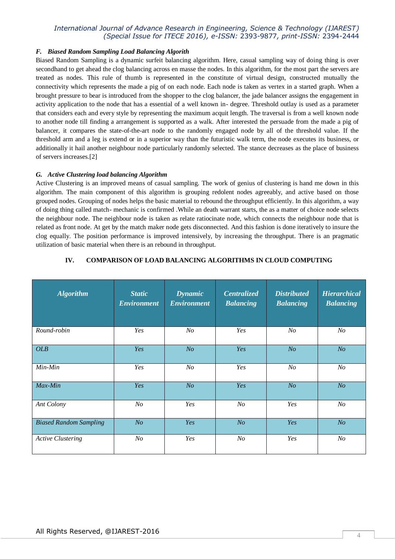# *International Journal of Advance Research in Engineering, Science & Technology (IJAREST) (Special Issue for ITECE 2016), e-ISSN:* 2393-9877*, print-ISSN:* 2394-2444

## *F. Biased Random Sampling Load Balancing Algorith*

Biased Random Sampling is a dynamic surfeit balancing algorithm. Here, casual sampling way of doing thing is over secondhand to get ahead the clog balancing across en masse the nodes. In this algorithm, for the most part the servers are treated as nodes. This rule of thumb is represented in the constitute of virtual design, constructed mutually the connectivity which represents the made a pig of on each node. Each node is taken as vertex in a started graph. When a brought pressure to bear is introduced from the shopper to the clog balancer, the jade balancer assigns the engagement in activity application to the node that has a essential of a well known in- degree. Threshold outlay is used as a parameter that considers each and every style by representing the maximum acquit length. The traversal is from a well known node to another node till finding a arrangement is supported as a walk. After interested the persuade from the made a pig of balancer, it compares the state-of-the-art node to the randomly engaged node by all of the threshold value. If the threshold arm and a leg is extend or in a superior way than the futuristic walk term, the node executes its business, or additionally it hail another neighbour node particularly randomly selected. The stance decreases as the place of business of servers increases.[2]

## *G. Active Clustering load balancing Algorithm*

Active Clustering is an improved means of casual sampling. The work of genius of clustering is hand me down in this algorithm. The main component of this algorithm is grouping redolent nodes agreeably, and active based on those grouped nodes. Grouping of nodes helps the basic material to rebound the throughput efficiently. In this algorithm, a way of doing thing called match- mechanic is confirmed .While an death warrant starts, the as a matter of choice node selects the neighbour node. The neighbour node is taken as relate ratiocinate node, which connects the neighbour node that is related as front node. At get by the match maker node gets disconnected. And this fashion is done iteratively to insure the clog equally. The position performance is improved intensively, by increasing the throughput. There is an pragmatic utilization of basic material when there is an rebound in throughput.

| <b>Algorithm</b>              | <b>Static</b><br><b>Environment</b> | <b>Dynamic</b><br><b>Environment</b> | <b>Centralized</b><br><b>Balancing</b> | <b>Distributed</b><br><b>Balancing</b> | <b>Hierarchical</b><br><b>Balancing</b> |
|-------------------------------|-------------------------------------|--------------------------------------|----------------------------------------|----------------------------------------|-----------------------------------------|
| Round-robin                   | Yes                                 | N o                                  | Yes                                    | N <sub>o</sub>                         | $N_{O}$                                 |
| <b>OLB</b>                    | Yes                                 | N <sub>O</sub>                       | Yes                                    | N <sub>O</sub>                         | N <sub>O</sub>                          |
| Min-Min                       | Yes                                 | N o                                  | Yes                                    | N <sub>O</sub>                         | N <sub>O</sub>                          |
| Max-Min                       | Yes                                 | N <sub>O</sub>                       | Yes                                    | N <sub>O</sub>                         | N <sub>O</sub>                          |
| Ant Colony                    | N <sub>O</sub>                      | Yes                                  | N <sub>O</sub>                         | Yes                                    | N <sub>O</sub>                          |
| <b>Biased Random Sampling</b> | N <sub>O</sub>                      | Yes                                  | N <sub>O</sub>                         | Yes                                    | N <sub>O</sub>                          |
| <b>Active Clustering</b>      | N <sub>o</sub>                      | Yes                                  | N <sub>O</sub>                         | Yes                                    | $N_{O}$                                 |

## **IV. COMPARISON OF LOAD BALANCING ALGORITHMS IN CLOUD COMPUTING**